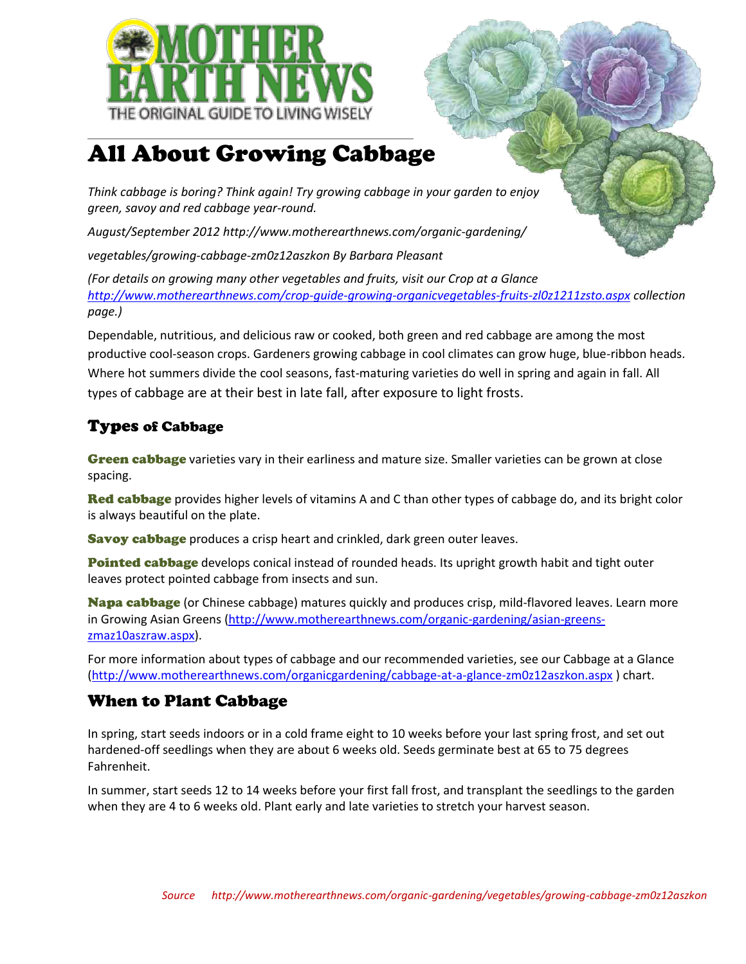

# All About Growing Cabbage

*Think cabbage is boring? Think again! Try growing cabbage in your garden to enjoy green, savoy and red cabbage year-round.* 

*August/September 2012 http://www.motherearthnews.com/organic-gardening/*

*vegetables/growing-cabbage-zm0z12aszkon By Barbara Pleasant* 

*(For details on growing many other vegetables and fruits, visit our Crop at a Glance <http://www.motherearthnews.com/crop-guide-growing-organicvegetables-fruits-zl0z1211zsto.aspx> collection page.)* 

Dependable, nutritious, and delicious raw or cooked, both green and red cabbage are among the most productive cool-season crops. Gardeners growing cabbage in cool climates can grow huge, blue-ribbon heads. Where hot summers divide the cool seasons, fast-maturing varieties do well in spring and again in fall. All types of cabbage are at their best in late fall, after exposure to light frosts.

## Types of Cabbage

**Green cabbage** varieties vary in their earliness and mature size. Smaller varieties can be grown at close spacing.

**Red cabbage** provides higher levels of vitamins A and C than other types of cabbage do, and its bright color is always beautiful on the plate.

**Savoy cabbage** produces a crisp heart and crinkled, dark green outer leaves.

Pointed cabbage develops conical instead of rounded heads. Its upright growth habit and tight outer leaves protect pointed cabbage from insects and sun.

Napa cabbage (or Chinese cabbage) matures quickly and produces crisp, mild-flavored leaves. Learn more in Growing Asian Greens [\(http://www.motherearthnews.com/organic-gardening/asian-greens](http://www.motherearthnews.com/organic-gardening/asian-greens-zmaz10aszraw.aspx)[zmaz10aszraw.aspx\)](http://www.motherearthnews.com/organic-gardening/asian-greens-zmaz10aszraw.aspx).

For more information about types of cabbage and our recommended varieties, see our Cabbage at a Glance [\(http://www.motherearthnews.com/organicgardening/cabbage-at-a-glance-zm0z12aszkon.aspx](http://www.motherearthnews.com/organicgardening/cabbage-at-a-glance-zm0z12aszkon.aspx) ) chart.

#### When to Plant Cabbage

In spring, start seeds indoors or in a cold frame eight to 10 weeks before your last spring frost, and set out hardened-off seedlings when they are about 6 weeks old. Seeds germinate best at 65 to 75 degrees Fahrenheit.

In summer, start seeds 12 to 14 weeks before your first fall frost, and transplant the seedlings to the garden when they are 4 to 6 weeks old. Plant early and late varieties to stretch your harvest season.